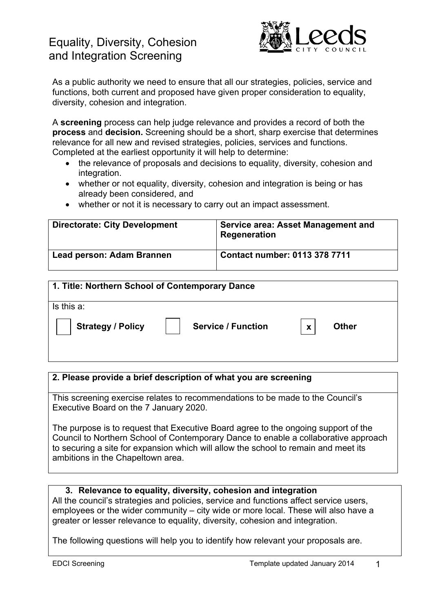# Equality, Diversity, Cohesion and Integration Screening



As a public authority we need to ensure that all our strategies, policies, service and functions, both current and proposed have given proper consideration to equality, diversity, cohesion and integration.

A **screening** process can help judge relevance and provides a record of both the **process** and **decision.** Screening should be a short, sharp exercise that determines relevance for all new and revised strategies, policies, services and functions. Completed at the earliest opportunity it will help to determine:

- the relevance of proposals and decisions to equality, diversity, cohesion and integration.
- whether or not equality, diversity, cohesion and integration is being or has already been considered, and
- whether or not it is necessary to carry out an impact assessment.

| <b>Directorate: City Development</b> | <b>Service area: Asset Management and</b><br>Regeneration |
|--------------------------------------|-----------------------------------------------------------|
| Lead person: Adam Brannen            | <b>Contact number: 0113 378 7711</b>                      |

| 1. Title: Northern School of Contemporary Dance |                           |   |              |
|-------------------------------------------------|---------------------------|---|--------------|
| Is this a:                                      |                           |   |              |
| <b>Strategy / Policy</b>                        | <b>Service / Function</b> | X | <b>Other</b> |

# **2. Please provide a brief description of what you are screening**

This screening exercise relates to recommendations to be made to the Council's Executive Board on the 7 January 2020.

The purpose is to request that Executive Board agree to the ongoing support of the Council to Northern School of Contemporary Dance to enable a collaborative approach to securing a site for expansion which will allow the school to remain and meet its ambitions in the Chapeltown area.

### **3. Relevance to equality, diversity, cohesion and integration**

All the council's strategies and policies, service and functions affect service users, employees or the wider community – city wide or more local. These will also have a greater or lesser relevance to equality, diversity, cohesion and integration.

The following questions will help you to identify how relevant your proposals are.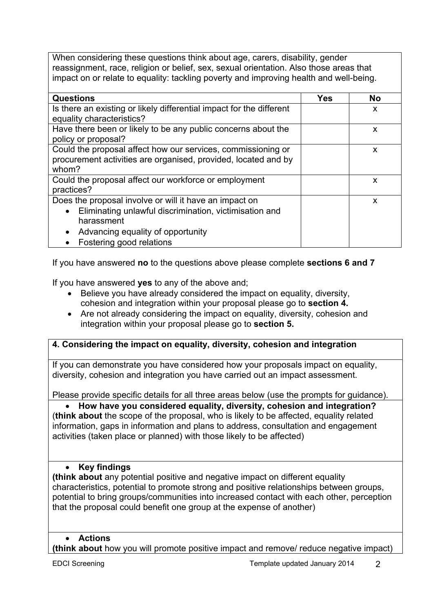When considering these questions think about age, carers, disability, gender reassignment, race, religion or belief, sex, sexual orientation. Also those areas that impact on or relate to equality: tackling poverty and improving health and well-being.

| <b>Questions</b>                                                     | <b>Yes</b> | <b>No</b> |
|----------------------------------------------------------------------|------------|-----------|
| Is there an existing or likely differential impact for the different |            | X         |
| equality characteristics?                                            |            |           |
| Have there been or likely to be any public concerns about the        |            | X         |
| policy or proposal?                                                  |            |           |
| Could the proposal affect how our services, commissioning or         |            | X         |
| procurement activities are organised, provided, located and by       |            |           |
| whom?                                                                |            |           |
| Could the proposal affect our workforce or employment                |            | X         |
| practices?                                                           |            |           |
| Does the proposal involve or will it have an impact on               |            | X         |
| Eliminating unlawful discrimination, victimisation and<br>$\bullet$  |            |           |
| harassment                                                           |            |           |
| Advancing equality of opportunity<br>$\bullet$                       |            |           |
| Fostering good relations                                             |            |           |

If you have answered **no** to the questions above please complete **sections 6 and 7**

If you have answered **yes** to any of the above and;

- Believe you have already considered the impact on equality, diversity, cohesion and integration within your proposal please go to **section 4.**
- Are not already considering the impact on equality, diversity, cohesion and integration within your proposal please go to **section 5.**

# **4. Considering the impact on equality, diversity, cohesion and integration**

If you can demonstrate you have considered how your proposals impact on equality, diversity, cohesion and integration you have carried out an impact assessment.

Please provide specific details for all three areas below (use the prompts for guidance).

 **How have you considered equality, diversity, cohesion and integration?**  (**think about** the scope of the proposal, who is likely to be affected, equality related information, gaps in information and plans to address, consultation and engagement activities (taken place or planned) with those likely to be affected)

# **Key findings**

**(think about** any potential positive and negative impact on different equality characteristics, potential to promote strong and positive relationships between groups, potential to bring groups/communities into increased contact with each other, perception that the proposal could benefit one group at the expense of another)

### **Actions**

**(think about** how you will promote positive impact and remove/ reduce negative impact)